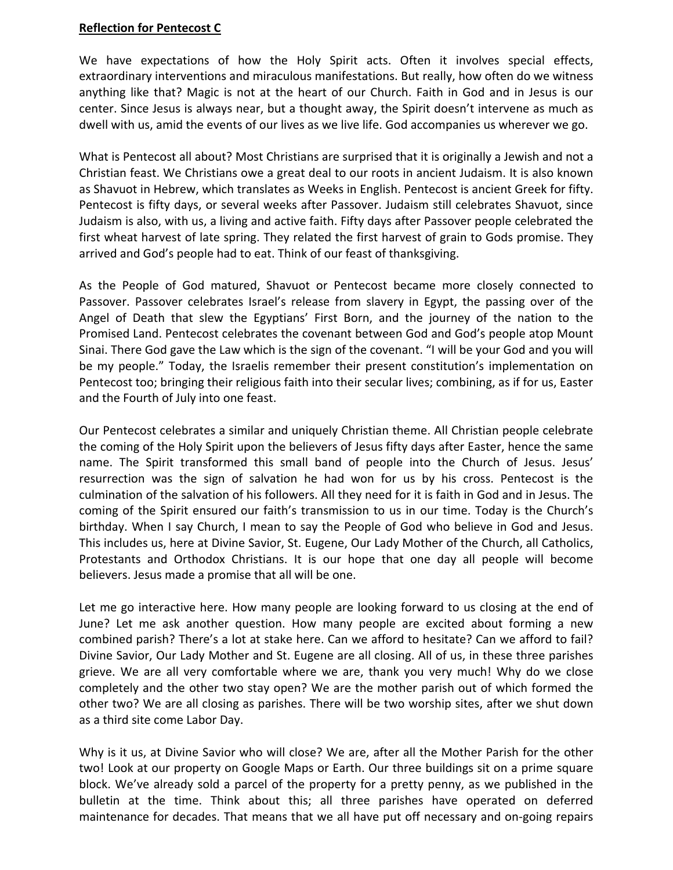## **Reflection for Pentecost C**

We have expectations of how the Holy Spirit acts. Often it involves special effects, extraordinary interventions and miraculous manifestations. But really, how often do we witness anything like that? Magic is not at the heart of our Church. Faith in God and in Jesus is our center. Since Jesus is always near, but a thought away, the Spirit doesn't intervene as much as dwell with us, amid the events of our lives as we live life. God accompanies us wherever we go.

What is Pentecost all about? Most Christians are surprised that it is originally a Jewish and not a Christian feast. We Christians owe a great deal to our roots in ancient Judaism. It is also known as Shavuot in Hebrew, which translates as Weeks in English. Pentecost is ancient Greek for fifty. Pentecost is fifty days, or several weeks after Passover. Judaism still celebrates Shavuot, since Judaism is also, with us, a living and active faith. Fifty days after Passover people celebrated the first wheat harvest of late spring. They related the first harvest of grain to Gods promise. They arrived and God's people had to eat. Think of our feast of thanksgiving.

As the People of God matured, Shavuot or Pentecost became more closely connected to Passover. Passover celebrates Israel's release from slavery in Egypt, the passing over of the Angel of Death that slew the Egyptians' First Born, and the journey of the nation to the Promised Land. Pentecost celebrates the covenant between God and God's people atop Mount Sinai. There God gave the Law which is the sign of the covenant. "I will be your God and you will be my people." Today, the Israelis remember their present constitution's implementation on Pentecost too; bringing their religious faith into their secular lives; combining, as if for us, Easter and the Fourth of July into one feast.

Our Pentecost celebrates a similar and uniquely Christian theme. All Christian people celebrate the coming of the Holy Spirit upon the believers of Jesus fifty days after Easter, hence the same name. The Spirit transformed this small band of people into the Church of Jesus. Jesus' resurrection was the sign of salvation he had won for us by his cross. Pentecost is the culmination of the salvation of his followers. All they need for it is faith in God and in Jesus. The coming of the Spirit ensured our faith's transmission to us in our time. Today is the Church's birthday. When I say Church, I mean to say the People of God who believe in God and Jesus. This includes us, here at Divine Savior, St. Eugene, Our Lady Mother of the Church, all Catholics, Protestants and Orthodox Christians. It is our hope that one day all people will become believers. Jesus made a promise that all will be one.

Let me go interactive here. How many people are looking forward to us closing at the end of June? Let me ask another question. How many people are excited about forming a new combined parish? There's a lot at stake here. Can we afford to hesitate? Can we afford to fail? Divine Savior, Our Lady Mother and St. Eugene are all closing. All of us, in these three parishes grieve. We are all very comfortable where we are, thank you very much! Why do we close completely and the other two stay open? We are the mother parish out of which formed the other two? We are all closing as parishes. There will be two worship sites, after we shut down as a third site come Labor Day.

Why is it us, at Divine Savior who will close? We are, after all the Mother Parish for the other two! Look at our property on Google Maps or Earth. Our three buildings sit on a prime square block. We've already sold a parcel of the property for a pretty penny, as we published in the bulletin at the time. Think about this; all three parishes have operated on deferred maintenance for decades. That means that we all have put off necessary and on‐going repairs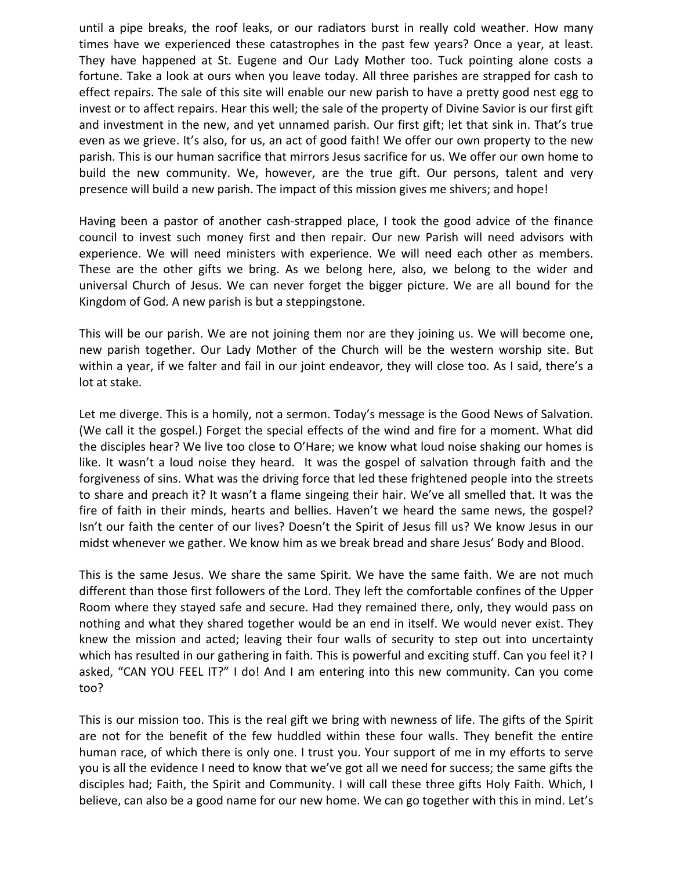until a pipe breaks, the roof leaks, or our radiators burst in really cold weather. How many times have we experienced these catastrophes in the past few years? Once a year, at least. They have happened at St. Eugene and Our Lady Mother too. Tuck pointing alone costs a fortune. Take a look at ours when you leave today. All three parishes are strapped for cash to effect repairs. The sale of this site will enable our new parish to have a pretty good nest egg to invest or to affect repairs. Hear this well; the sale of the property of Divine Savior is our first gift and investment in the new, and yet unnamed parish. Our first gift; let that sink in. That's true even as we grieve. It's also, for us, an act of good faith! We offer our own property to the new parish. This is our human sacrifice that mirrors Jesus sacrifice for us. We offer our own home to build the new community. We, however, are the true gift. Our persons, talent and very presence will build a new parish. The impact of this mission gives me shivers; and hope!

Having been a pastor of another cash-strapped place, I took the good advice of the finance council to invest such money first and then repair. Our new Parish will need advisors with experience. We will need ministers with experience. We will need each other as members. These are the other gifts we bring. As we belong here, also, we belong to the wider and universal Church of Jesus. We can never forget the bigger picture. We are all bound for the Kingdom of God. A new parish is but a steppingstone.

This will be our parish. We are not joining them nor are they joining us. We will become one, new parish together. Our Lady Mother of the Church will be the western worship site. But within a year, if we falter and fail in our joint endeavor, they will close too. As I said, there's a lot at stake.

Let me diverge. This is a homily, not a sermon. Today's message is the Good News of Salvation. (We call it the gospel.) Forget the special effects of the wind and fire for a moment. What did the disciples hear? We live too close to O'Hare; we know what loud noise shaking our homes is like. It wasn't a loud noise they heard. It was the gospel of salvation through faith and the forgiveness of sins. What was the driving force that led these frightened people into the streets to share and preach it? It wasn't a flame singeing their hair. We've all smelled that. It was the fire of faith in their minds, hearts and bellies. Haven't we heard the same news, the gospel? Isn't our faith the center of our lives? Doesn't the Spirit of Jesus fill us? We know Jesus in our midst whenever we gather. We know him as we break bread and share Jesus' Body and Blood.

This is the same Jesus. We share the same Spirit. We have the same faith. We are not much different than those first followers of the Lord. They left the comfortable confines of the Upper Room where they stayed safe and secure. Had they remained there, only, they would pass on nothing and what they shared together would be an end in itself. We would never exist. They knew the mission and acted; leaving their four walls of security to step out into uncertainty which has resulted in our gathering in faith. This is powerful and exciting stuff. Can you feel it? I asked, "CAN YOU FEEL IT?" I do! And I am entering into this new community. Can you come too?

This is our mission too. This is the real gift we bring with newness of life. The gifts of the Spirit are not for the benefit of the few huddled within these four walls. They benefit the entire human race, of which there is only one. I trust you. Your support of me in my efforts to serve you is all the evidence I need to know that we've got all we need for success; the same gifts the disciples had; Faith, the Spirit and Community. I will call these three gifts Holy Faith. Which, I believe, can also be a good name for our new home. We can go together with this in mind. Let's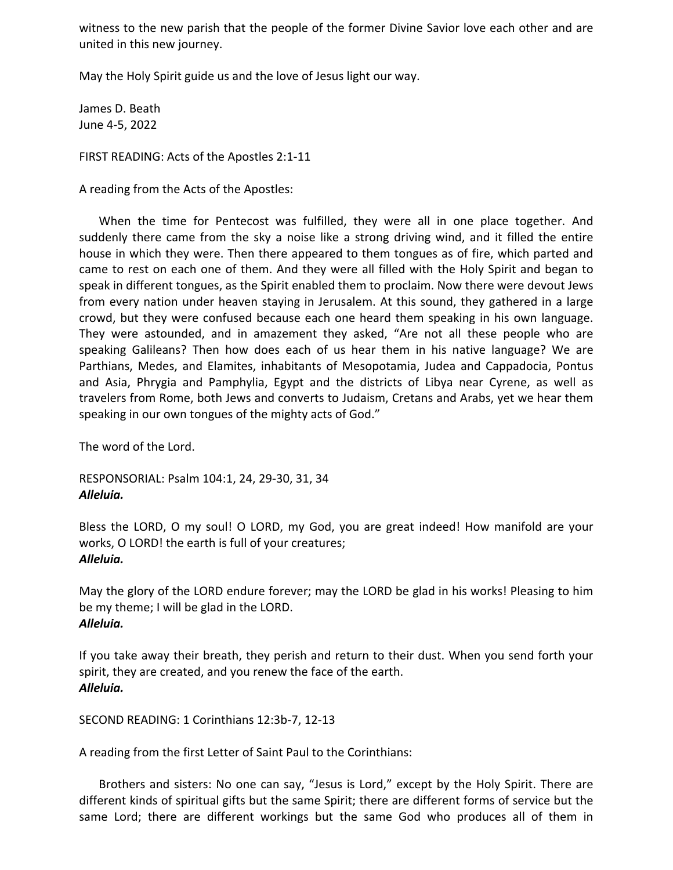witness to the new parish that the people of the former Divine Savior love each other and are united in this new journey.

May the Holy Spirit guide us and the love of Jesus light our way.

James D. Beath June 4‐5, 2022

FIRST READING: Acts of the Apostles 2:1‐11

A reading from the Acts of the Apostles:

When the time for Pentecost was fulfilled, they were all in one place together. And suddenly there came from the sky a noise like a strong driving wind, and it filled the entire house in which they were. Then there appeared to them tongues as of fire, which parted and came to rest on each one of them. And they were all filled with the Holy Spirit and began to speak in different tongues, as the Spirit enabled them to proclaim. Now there were devout Jews from every nation under heaven staying in Jerusalem. At this sound, they gathered in a large crowd, but they were confused because each one heard them speaking in his own language. They were astounded, and in amazement they asked, "Are not all these people who are speaking Galileans? Then how does each of us hear them in his native language? We are Parthians, Medes, and Elamites, inhabitants of Mesopotamia, Judea and Cappadocia, Pontus and Asia, Phrygia and Pamphylia, Egypt and the districts of Libya near Cyrene, as well as travelers from Rome, both Jews and converts to Judaism, Cretans and Arabs, yet we hear them speaking in our own tongues of the mighty acts of God."

The word of the Lord.

RESPONSORIAL: Psalm 104:1, 24, 29‐30, 31, 34 *Alleluia.* 

Bless the LORD, O my soul! O LORD, my God, you are great indeed! How manifold are your works, O LORD! the earth is full of your creatures; *Alleluia.* 

May the glory of the LORD endure forever; may the LORD be glad in his works! Pleasing to him be my theme; I will be glad in the LORD. *Alleluia.* 

If you take away their breath, they perish and return to their dust. When you send forth your spirit, they are created, and you renew the face of the earth. *Alleluia.* 

SECOND READING: 1 Corinthians 12:3b‐7, 12‐13

A reading from the first Letter of Saint Paul to the Corinthians:

Brothers and sisters: No one can say, "Jesus is Lord," except by the Holy Spirit. There are different kinds of spiritual gifts but the same Spirit; there are different forms of service but the same Lord; there are different workings but the same God who produces all of them in